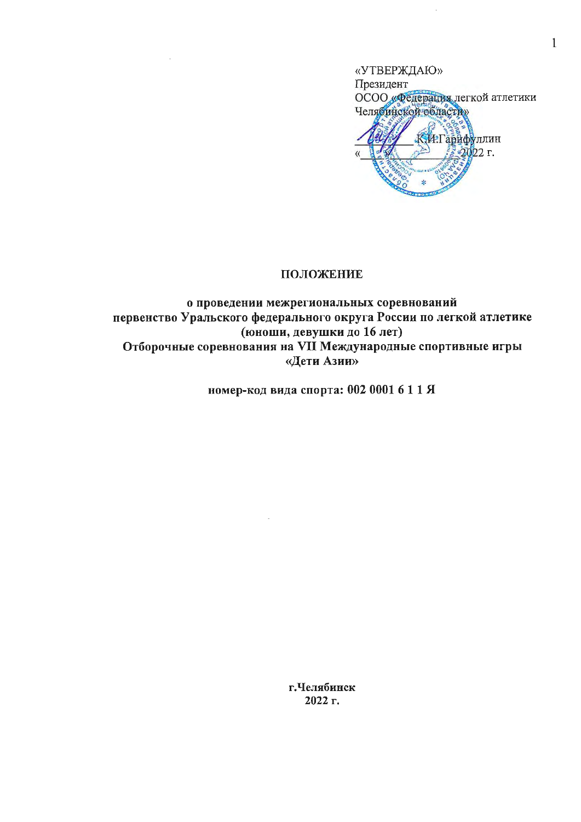

 $\mathbf{1}$ 

## ПОЛОЖЕНИЕ

 $\mathcal{A}$ 

# о проведении межрегиональных соревнований первенство Уральского федерального округа России по легкой атлетике (юноши, девушки до 16 лет) Отборочные соревнования на VII Международные спортивные игры «Дети Азии»

номер-код вида спорта: 002 0001 6 1 1 Я

г.Челябинск 2022 г.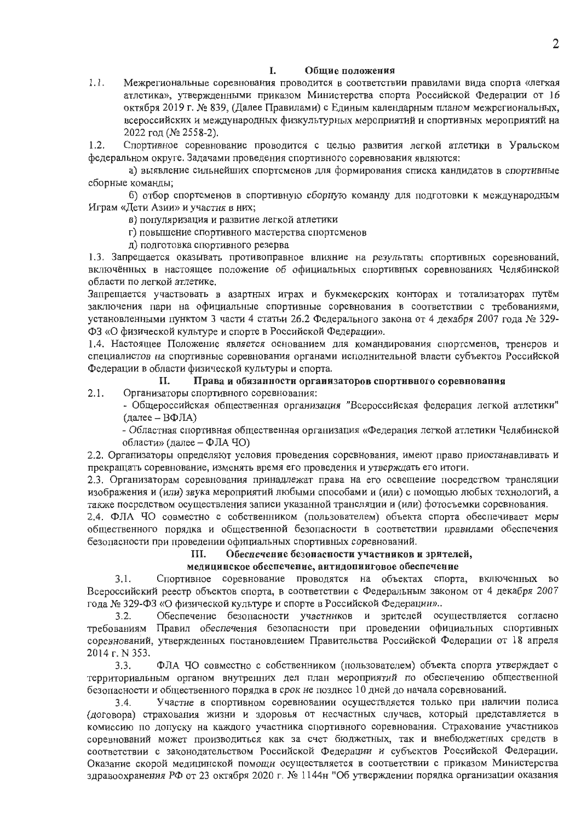#### I. Обшие положения

 $1.1.$ Межрегиональные соревнования проводится в соответствии правилами вида спорта «легкая атлетика», утвержденными приказом Министерства спорта Российской Федерации от 16 октября 2019 г. № 839, (Далее Правилами) с Единым календарным планом межрегиональных, всероссийских и международных физкультурных мероприятий и спортивных мероприятий на 2022 год (№ 2558-2).

 $1.2.$ Спортивное соревнование проводится с целью развития легкой атлетики в Уральском федеральном округе. Задачами проведения спортивного соревнования являются:

а) выявление сильнейших спортсменов для формирования списка кандидатов в спортивные сборные команды;

б) отбор спортсменов в спортивную сборную команду для подготовки к международным Играм «Дети Азии» и участия в них;

в) популяризация и развитие легкой атлетики

г) повышение спортивного мастерства спортсменов

д) подготовка спортивного резерва

1.3. Запрещается оказывать противоправное влияние на результаты спортивных соревнований, включённых в настоящее положение об официальных спортивных соревнованиях Челябинской области по легкой атлетике.

Запрещается участвовать в азартных играх и букмекерских конторах и тотализаторах путём заключения пари на официальные спортивные соревнования в соответствии с требованиями, установленными пунктом 3 части 4 статьи 26.2 Федерального закона от 4 декабря 2007 года № 329-ФЗ «О физической культуре и спорте в Российской Федерации».

1.4. Настоящее Положение является основанием для командирования спортсменов, тренеров и специалистов на спортивные соревнования органами исполнительной власти субъектов Российской Федерации в области физической культуры и спорта.

#### Права и обязанности оргаиизаторов спортивного соревнования П.

 $2.1.$ Организаторы спортивного соревнования:

- Общероссийская общественная организация "Всероссийская федерация легкой атлетики" (далее - ВФЛА)

- Областная спортивная общественная организация «Федерация легкой атлетики Челябинской области» (далее - ФЛА ЧО)

2.2. Организаторы определяют условия проведения соревнования, имеют право приостанавливать и прекращать соревнование, изменять время его проведения и утверждать его итоги.

2.3. Организаторам соревнования принадлежат права на его освещение посредством трансляции изображения и (или) звука мероприятий любыми способами и (или) с помощью любых технологий, а также посредством осуществления записи указанной трансляции и (или) фотосъемки соревнования.

2.4. ФЛА ЧО совместно с собственником (пользователем) объекта спорта обеспечивает меры общественного порядка и общественной безопасности в соответствии правилами обеспечения безопасности при проведении официальных спортивных соревнований.

#### Ш. Обеспечение безонасности участников и зрителей,

### медиципское обеспечение, аитидопииговое обеспечение

 $3.1.$ Спортивное соревнование проводятся на объектах спорта, включенных во Всероссийский реестр объектов спорта, в соответствии с Федеральным законом от 4 декабря 2007 года № 329-ФЗ «О физической культуре и спорте в Российской Федерации»..

 $3.2.$ Обеспечение безопасности участников и зрителей осуществляется согласно требованиям Правил обеспечения безопасности при проведении официальных спортивных соревнований, утвержденных постановлением Правительства Российской Федерации от 18 апреля 2014 г. N 353.

ФЛА ЧО совместно с собственником (пользователем) объекта спорта утверждает с  $3.3.$ территориальным органом внутренних дел план мероприятий по обеспечению общественной безопасности и общественного порядка в срок не позднее 10 дней до начала соревнований.

Участие в спортивном соревновании осуществляется только при наличии полиса  $3.4.$ (договора) страхования жизни и здоровья от несчастных случаев, который представляется в комиссию по допуску на каждого участника спортивного соревнования. Страхование участников соревнований может производиться как за счет бюджетных, так и внебюджетных средств в соответствии с законодательством Российской Федерации и субъектов Российской Федерации. Оказание скорой медицинской помощи осуществляется в соответствии с приказом Министерства здравоохранения РФ от 23 октября 2020 г. № 1144н "Об утверждении порядка организации оказания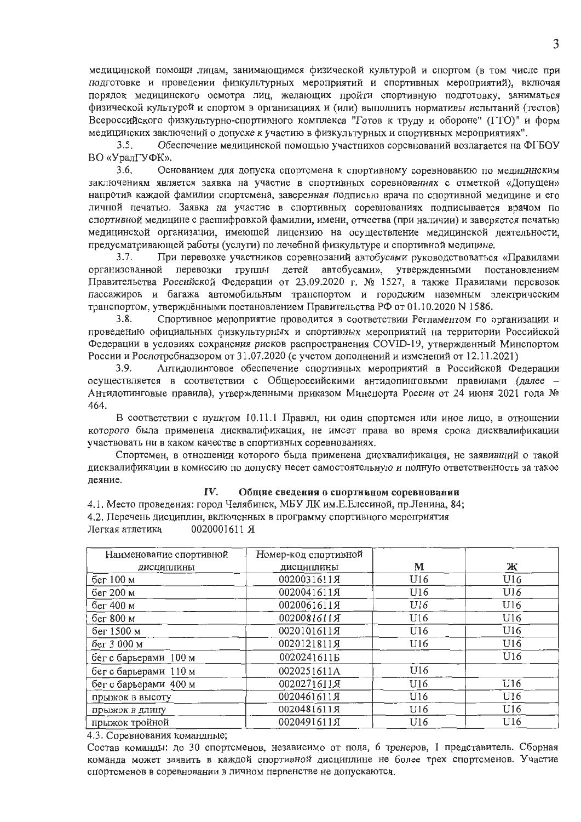медицинской помощи лицам, занимающимся физической культурой и спортом (в том числе при подготовке и проведении физкультурных мероприятий и спортивных мероприятий), включая порядок медицинского осмотра лиц, желающих пройти спортивную подготовку, заниматься физической культурой и спортом в организациях и (или) выполнить нормативы испытаний (тестов) Всероссийского физкультурно-спортивного комплекса "Готов к труду и обороне" (ГТО)" и форм медицинских заключений о допуске к участию в физкультурных и спортивных мероприятиях".

Обеспечение медицинской помощью участников соревнований возлагается на ФГБОУ  $3.5.$ ВО «УралГУФК».

Основанием для допуска спортсмена к спортивному соревнованию по медицинским  $3.6.$ заключениям является заявка на участие в спортивных соревнованиях с отметкой «Допущен» напротив каждой фамилии спортсмена, заверенная подписью врача по спортивной медицине и его личной печатью. Заявка на участие в спортивных соревнованиях подписывается врачом по спортивной медицине с расшифровкой фамилии, имени, отчества (при наличии) и заверяется печатью медицинской организации, имеющей лицензию на осуществление медицинской деятельности, предусматривающей работы (услуги) по лечебной физкультуре и спортивной медицине.

При перевозке участников соревнований автобусами руководствоваться «Правилами  $3.7.$ организованной перевозки группы детей автобусами», утвержденными постановлением Правительства Российской Федерации от 23.09.2020 г. № 1527, а также Правилами перевозок пассажиров и багажа автомобильным транспортом и городским наземным электрическим транспортом, утверждёнными постановлением Правительства РФ от 01.10.2020 N 1586.

 $3.8.$ Спортивное мероприятие проводится в соответствии Регламентом по организации и проведению официальных физкультурных и спортивных мероприятий на территории Российской Федерации в условиях сохранения рисков распространения COVID-19, утвержденный Минспортом России и Роспотребнадзором от 31.07.2020 (с учетом дополнений и изменений от 12.11.2021)

Антидопинговое обеспечение спортивных мероприятий в Российской Федерации  $3.9.$ осуществляется в соответствии с Общероссийскими антидопинговыми правилами (далее -Антидопинговые правила), утвержденными приказом Минспорта России от 24 июня 2021 года № 464.

В соответствии с пунктом 10.11.1 Правил, ни один спортсмен или иное лицо, в отношении которого была применена дисквалификация, не имеет права во время срока дисквалификации участвовать ни в каком качестве в спортивных соревнованиях.

Спортсмен, в отношении которого была применена дисквалификация, не заявивший о такой дисквалификации в комиссию по допуску несет самостоятельную и полную ответственность за такое деяние.

#### IV. Общие сведения о спортнвном соревновании

4.1. Место проведения: город Челябинск, МБУ ЛК им.Е.Елесиной, пр.Ленина, 84; 4.2. Перечень дисциплин, включенных в программу спортивного мероприятия Легкая атлетика 0020001611 R

| Наименование спортивной | Номер-код спортивной |     |     |
|-------------------------|----------------------|-----|-----|
| дисциплины              | дисциплины           | М   | Ж   |
| бег 100 м               | 0020031611Я          | U16 | U16 |
| бег 200 м               | 0020041611Я          | U16 | U16 |
| бег 400 м               | 0020061611Я          | U16 | U16 |
| бег 800 м               | 0020081611月          | U16 | U16 |
| бег 1500 м              | 0020101611Я          | U16 | U16 |
| бег 3 000 м             | 0020121811Я          | U16 | U16 |
| бег с барьерами 100 м   | 00202416115          |     | U16 |
| бег с барьерами 110 м   | 0020251611A          | U16 |     |
| бег с барьерами 400 м   | 0020271611Я          | U16 | U16 |
| прыжок в высоту         | 0020461611Я          | U16 | U16 |
| прыжок в длину          | 0020481611Я          | U16 | U16 |
| прыжок тройной          | 0020491611Я          | U16 | U16 |

4.3. Соревнования командные;

Состав команды: до 30 спортсменов, независимо от пола, 6 тренеров, 1 представитель. Сборная команда может заявить в каждой спортивной дисциплине не более трех спортсменов. Участие спортсменов в соревновании в личном первенстве не допускаются.